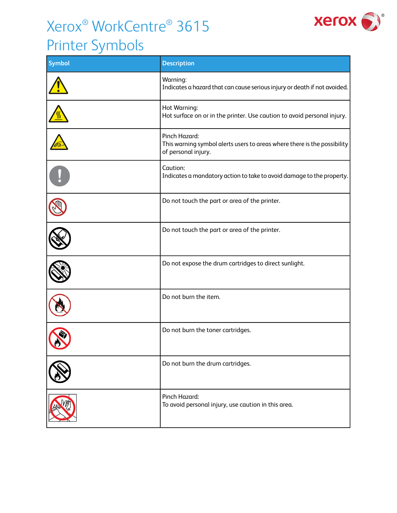## Xerox® WorkCentre® 3615



## Printer Symbols

| <b>Symbol</b> | <b>Description</b>                                                                                               |
|---------------|------------------------------------------------------------------------------------------------------------------|
|               | Warning:<br>Indicates a hazard that can cause serious injury or death if not avoided.                            |
|               | Hot Warning:<br>Hot surface on or in the printer. Use caution to avoid personal injury.                          |
|               | Pinch Hazard:<br>This warning symbol alerts users to areas where there is the possibility<br>of personal injury. |
|               | Caution:<br>Indicates a mandatory action to take to avoid damage to the property.                                |
|               | Do not touch the part or area of the printer.                                                                    |
|               | Do not touch the part or area of the printer.                                                                    |
|               | Do not expose the drum cartridges to direct sunlight.                                                            |
|               | Do not burn the item.                                                                                            |
|               | Do not burn the toner cartridges.                                                                                |
|               | Do not burn the drum cartridges.                                                                                 |
|               | Pinch Hazard:<br>To avoid personal injury, use caution in this area.                                             |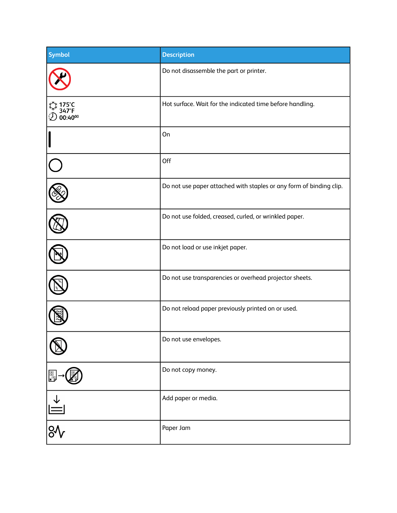| <b>Symbol</b>   | <b>Description</b>                                                  |
|-----------------|---------------------------------------------------------------------|
|                 | Do not disassemble the part or printer.                             |
| 175°C<br>ი∙∡ი∘∘ | Hot surface. Wait for the indicated time before handling.           |
|                 | On                                                                  |
|                 | Off                                                                 |
|                 | Do not use paper attached with staples or any form of binding clip. |
|                 | Do not use folded, creased, curled, or wrinkled paper.              |
|                 | Do not load or use inkjet paper.                                    |
|                 | Do not use transparencies or overhead projector sheets.             |
|                 | Do not reload paper previously printed on or used.                  |
|                 | Do not use envelopes.                                               |
| Fre             | Do not copy money.                                                  |
| $\triangleq$    | Add paper or media.                                                 |
| $\frac{8}{3}$   | Paper Jam                                                           |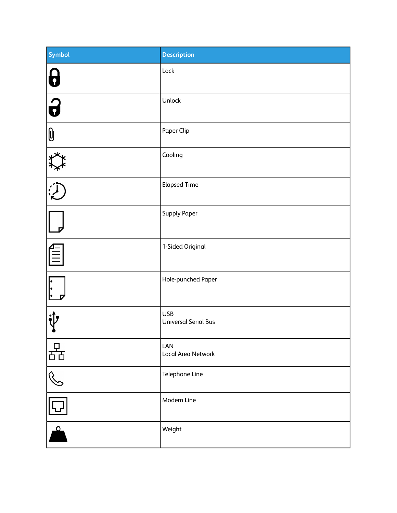| <b>Symbol</b>           | <b>Description</b>                        |
|-------------------------|-------------------------------------------|
| $\boldsymbol{a}$        | Lock                                      |
| $\overline{\mathbf{G}}$ | Unlock                                    |
| $ 0\>$                  | Paper Clip                                |
| <u>्रेक्ष</u>           | Cooling                                   |
|                         | <b>Elapsed Time</b>                       |
| $\overline{p}$          | <b>Supply Paper</b>                       |
| FIIII                   | 1-Sided Original                          |
|                         | Hole-punched Paper                        |
|                         | <b>USB</b><br><b>Universal Serial Bus</b> |
| ਨੱਤ                     | LAN<br>Local Area Network                 |
| R<br>C                  | Telephone Line                            |
|                         | Modem Line                                |
| $\bullet$               | Weight                                    |